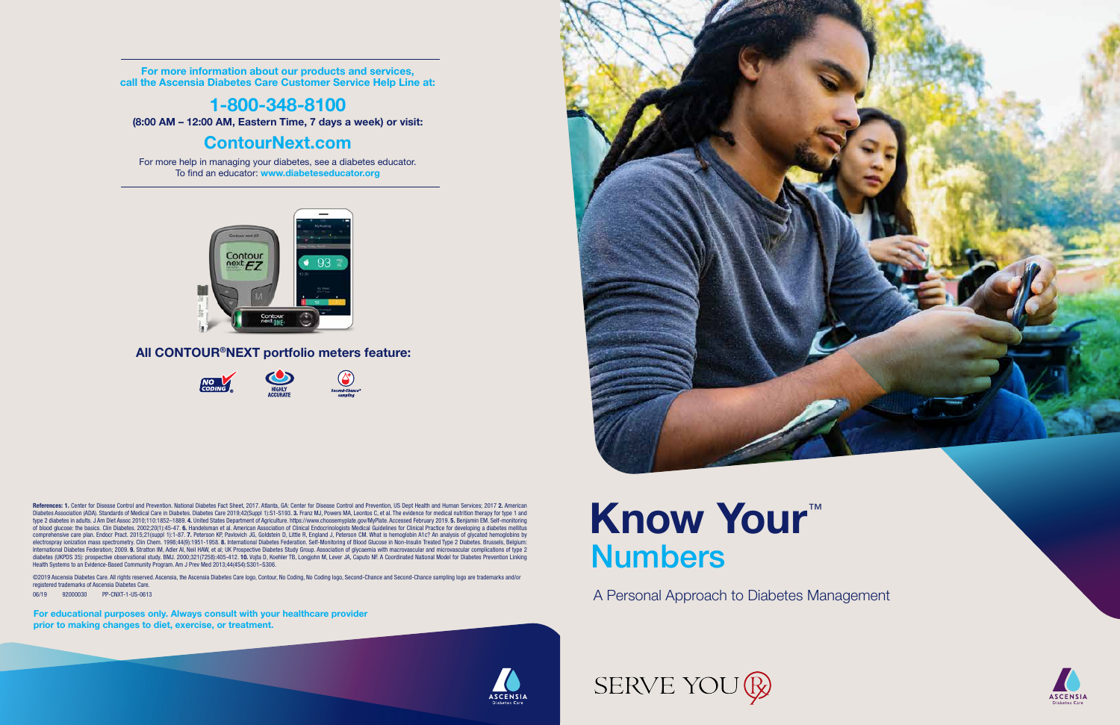A Personal Approach to Diabetes Management

# Know Your™ Numbers



**ASCENSIA Participant Guidean Diabetes Care**<br> **Participant Guidean Diabetes Care** 

For more information about our products and services, call the Ascensia Diabetes Care Customer Service Help Line at:

## 1-800-348-8100

(8:00 AM – 12:00 AM, Eastern Time, 7 days a week) or visit:

### ContourNext.com

For more help in managing your diabetes, see a diabetes educator. To find an educator: www.diabeteseducator.org



#### All CONTOUR®NEXT portfolio meters feature:



References: 1. Center for Disease Control and Prevention. National Diabetes Fact Sheet, 2017. Atlanta, GA: Center for Disease Control and Prevention, US Dept Health and Human Services; 2017 2. American Diabetes Association (ADA). Standards of Medical Care in Diabetes. Diabetes Care 2019;42(Suppl 1):S1-S193. 3. Franz MJ, Powers MA, Leontos C, et al. The evidence for medical nutrition therapy for type 1 and type 2 diabetes in adults. J Am Diet Assoc 2010;110:1852–1889. 4. United States Department of Agriculture. https://www.choosemyplate.gov/MyPlate. Accessed February 2019. 5. Benjamin EM. Self-monitoring of blood glucose: the basics. Clin Diabetes. 2002;20(1):45-47. 6. Handelsman et al. American Association of Clinical Endocrinologists Medical Guidelines for Clinical Practice for developing a diabetes mellitus comprehensive care plan. Endocr Pract. 2015;21(suppl 1):1-87. 7. Peterson KP, Pavlovich JG, Goldstein D, Little R, England J, Peterson CM. What is hemoglobin A1c? An analysis of glycated hemoglobins by electrospray ionization mass spectrometry. Clin Chem. 1998;44(9):1951-1958. 8. International Diabetes Federation. Self-Monitoring of Blood Glucose in Non-Insulin Treated Type 2 Diabetes. Brussels, Belgium: International Diabetes Federation; 2009. 9. Stratton IM, Adler AI, Neil HAW, et al; UK Prospective Diabetes Study Group. Association of glycaemia with macrovascular and microvascular complications of type 2 diabetes (UKPDS 35): prospective observational study. BMJ. 2000;321(7258):405-412. 10. Vojta D, Koehler TB, Longjohn M, Lever JA, Caputo NF. A Coordinated National Model for Diabetes Prevention Linking Health Systems to an Evidence-Based Community Program. Am J Prev Med 2013;44(4S4):S301–S306.

©2019 Ascensia Diabetes Care. All rights reserved. Ascensia, the Ascensia Diabetes Care logo, Contour, No Coding, No Coding logo, Second-Chance and Second-Chance sampling logo are trademarks and/or registered trademarks of Ascensia Diabetes Care.

06/19 92000030 PP-CNXT-1-US-0613

For educational purposes only. Always consult with your healthcare provider prior to making changes to diet, exercise, or treatment.



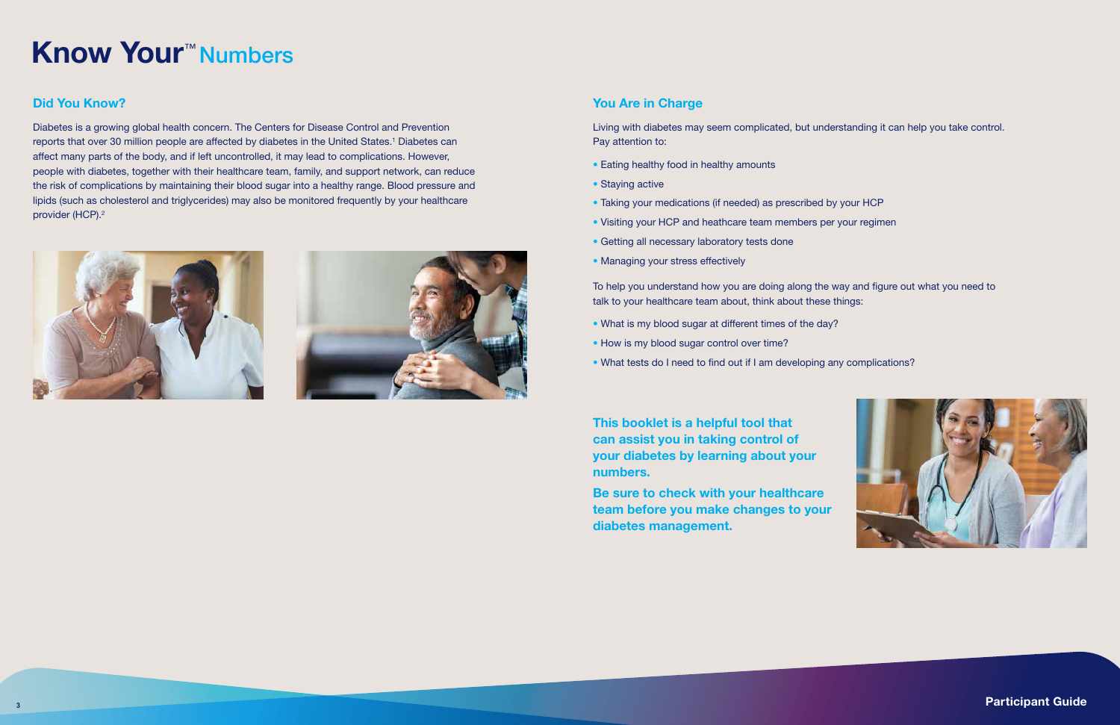### You Are in Charge

Living with diabetes may seem complicated, but understanding it can help you take control. Pay attention to:

- Eating healthy food in healthy amounts
- Staying active
- Taking your medications (if needed) as prescribed by your HCP
- Visiting your HCP and heathcare team members per your regimen
- Getting all necessary laboratory tests done
- Managing your stress effectively

Diabetes is a growing global health concern. The Centers for Disease Control and Prevention reports that over 30 million people are affected by diabetes in the United States.<sup>1</sup> Diabetes can affect many parts of the body, and if left uncontrolled, it may lead to complications. However, people with diabetes, together with their healthcare team, family, and support network, can reduce the risk of complications by maintaining their blood sugar into a healthy range. Blood pressure and lipids (such as cholesterol and triglycerides) may also be monitored frequently by your healthcare provider (HCP).<sup>2</sup>





To help you understand how you are doing along the way and figure out what you need to talk to your healthcare team about, think about these things:

- What is my blood sugar at different times of the day?
- How is my blood sugar control over time?
- What tests do I need to find out if I am developing any complications?

### Did You Know?

# Know Your™ Numbers

This booklet is a helpful tool that can assist you in taking control of your diabetes by learning about your numbers.

Be sure to check with your healthcare team before you make changes to your diabetes management.

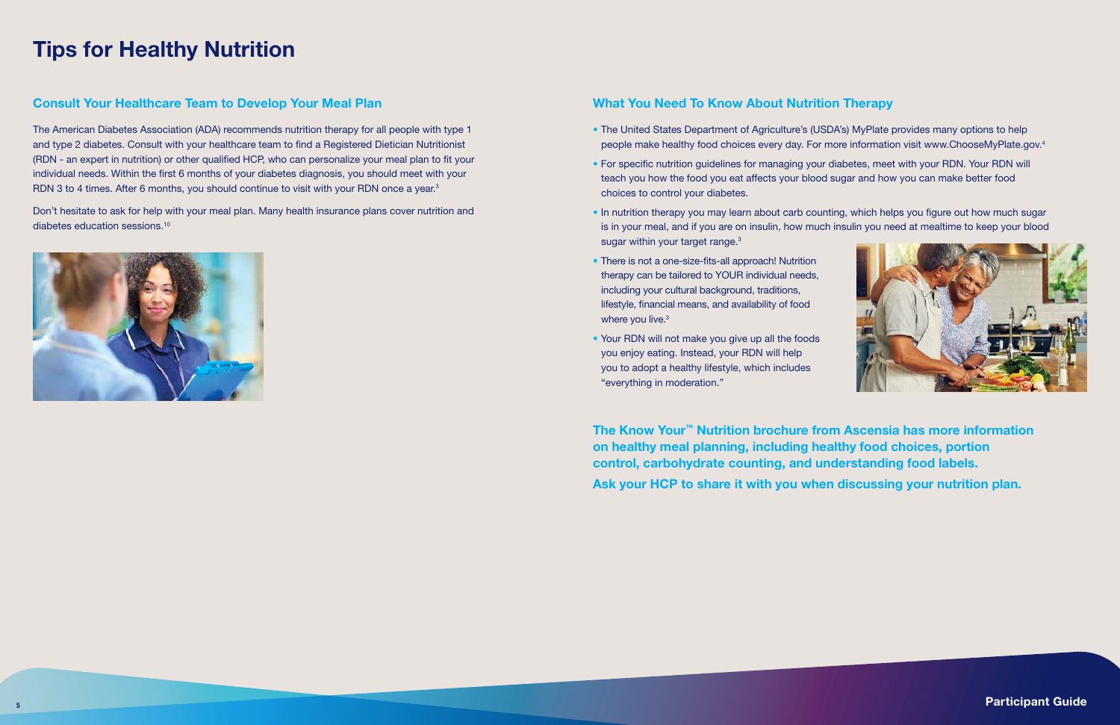## Tips for Healthy Nutrition

#### What You Need To Know About Nutrition Therapy

The American Diabetes Association (ADA) recommends nutrition therapy for all people with type 1 and type 2 diabetes. Consult with your healthcare team to find a Registered Dietician Nutritionist (RDN - an expert in nutrition) or other qualified HCP, who can personalize your meal plan to fit your individual needs. Within the first 6 months of your diabetes diagnosis, you should meet with your RDN 3 to 4 times. After 6 months, you should continue to visit with your RDN once a year.<sup>3</sup>

- The United States Department of Agriculture's (USDA's) MyPlate provides many options to help people make healthy food choices every day. For more information visit www.ChooseMyPlate.gov.4
- For specific nutrition guidelines for managing your diabetes, meet with your RDN. Your RDN will teach you how the food you eat affects your blood sugar and how you can make better food choices to control your diabetes.
- In nutrition therapy you may learn about carb counting, which helps you figure out how much sugar sugar within your target range.<sup>3</sup>
- There is not a one-size-fits-all approach! Nutrition therapy can be tailored to YOUR individual needs, including your cultural background, traditions, lifestyle, financial means, and availability of food where you live.<sup>3</sup>
- Your RDN will not make you give up all the foods you enjoy eating. Instead, your RDN will help you to adopt a healthy lifestyle, which includes "everything in moderation."

is in your meal, and if you are on insulin, how much insulin you need at mealtime to keep your blood



#### Consult Your Healthcare Team to Develop Your Meal Plan

Don't hesitate to ask for help with your meal plan. Many health insurance plans cover nutrition and diabetes education sessions.10



The Know Your™ Nutrition brochure from Ascensia has more information on healthy meal planning, including healthy food choices, portion control, carbohydrate counting, and understanding food labels. Ask your HCP to share it with you when discussing your nutrition plan.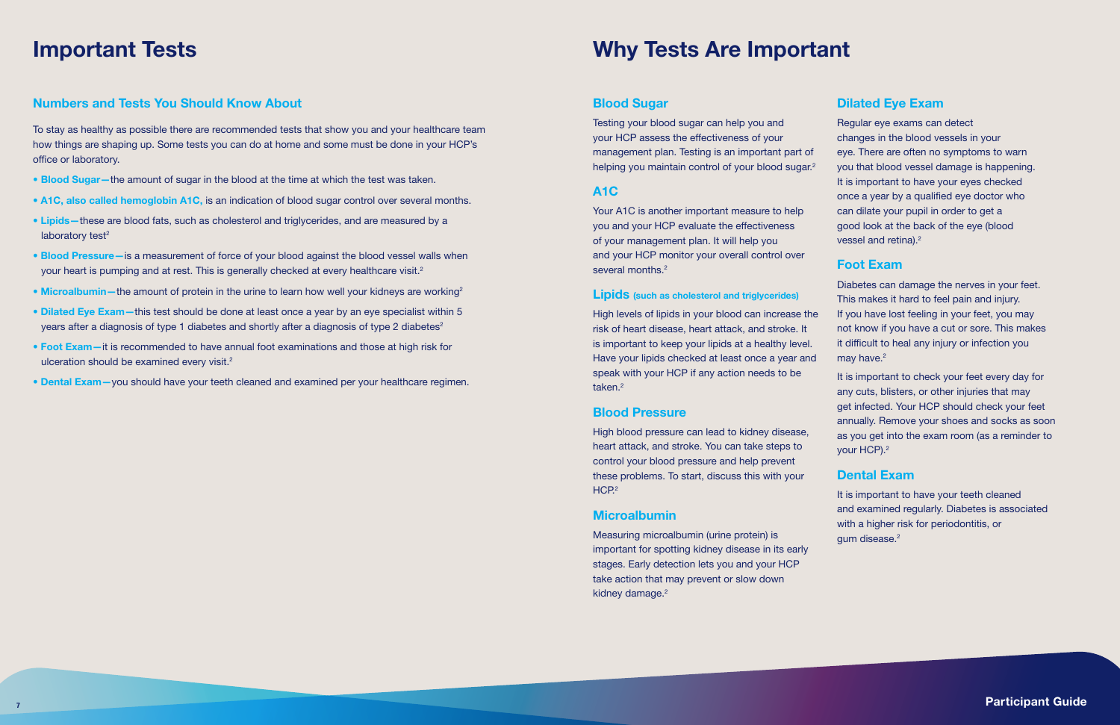#### Numbers and Tests You Should Know About

To stay as healthy as possible there are recommended tests that show you and your healthcare team how things are shaping up. Some tests you can do at home and some must be done in your HCP's office or laboratory.

- Blood Sugar the amount of sugar in the blood at the time at which the test was taken.
- A1C, also called hemoglobin A1C, is an indication of blood sugar control over several months.
- Lipids-these are blood fats, such as cholesterol and triglycerides, and are measured by a laboratory test $2$
- Blood Pressure- is a measurement of force of your blood against the blood vessel walls when your heart is pumping and at rest. This is generally checked at every healthcare visit.<sup>2</sup>
- Microalbumin—the amount of protein in the urine to learn how well your kidneys are working<sup>2</sup>
- Dilated Eye Exam-this test should be done at least once a year by an eye specialist within 5 years after a diagnosis of type 1 diabetes and shortly after a diagnosis of type 2 diabetes<sup>2</sup>
- Foot Exam—it is recommended to have annual foot examinations and those at high risk for ulceration should be examined every visit.<sup>2</sup>
- Dental Exam—you should have your teeth cleaned and examined per your healthcare regimen.

Testing your blood sugar can help you and your HCP assess the effectiveness of your management plan. Testing is an important part of helping you maintain control of your blood sugar.<sup>2</sup>

Your A1C is another important measure to help you and your HCP evaluate the effectiveness of your management plan. It will help you and your HCP monitor your overall control over several months.<sup>2</sup>

High levels of lipids in your blood can increase the risk of heart disease, heart attack, and stroke. It is important to keep your lipids at a healthy level. Have your lipids checked at least once a year and speak with your HCP if any action needs to be taken.<sup>2</sup>

High blood pressure can lead to kidney disease, heart attack, and stroke. You can take steps to control your blood pressure and help prevent these problems. To start, discuss this with your  $HCP<sup>2</sup>$ 

Measuring microalbumin (urine protein) is important for spotting kidney disease in its early stages. Early detection lets you and your HCP take action that may prevent or slow down kidney damage.<sup>2</sup>

Regular eye exams can detect changes in the blood vessels in your eye. There are often no symptoms to warn you that blood vessel damage is happening. It is important to have your eyes checked once a year by a qualified eye doctor who can dilate your pupil in order to get a good look at the back of the eye (blood vessel and retina).<sup>2</sup>

## Important Tests Why Tests Are Important

### Blood Sugar

Diabetes can damage the nerves in your feet. This makes it hard to feel pain and injury. If you have lost feeling in your feet, you may not know if you have a cut or sore. This makes it difficult to heal any injury or infection you may have.<sup>2</sup>

#### A1C

It is important to check your feet every day for any cuts, blisters, or other injuries that may get infected. Your HCP should check your feet annually. Remove your shoes and socks as soon as you get into the exam room (as a reminder to your HCP).<sup>2</sup>

It is important to have your teeth cleaned and examined regularly. Diabetes is associated with a higher risk for periodontitis, or gum disease.<sup>2</sup>

#### Lipids (such as cholesterol and triglycerides)

#### Blood Pressure

#### Microalbumin

#### Dilated Eye Exam

#### Foot Exam

#### Dental Exam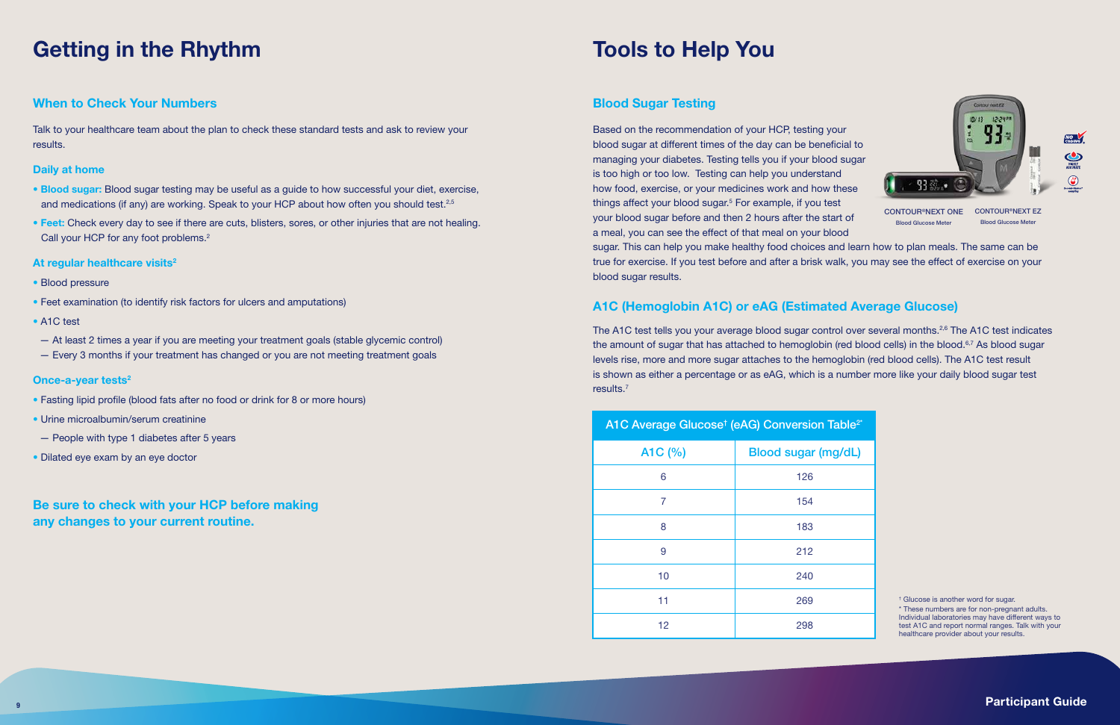## Getting in the Rhythm Tools to Help You

#### When to Check Your Numbers

Talk to your healthcare team about the plan to check these standard tests and ask to review your results.

#### Daily at home

- Blood sugar: Blood sugar testing may be useful as a guide to how successful your diet, exercise, and medications (if any) are working. Speak to your HCP about how often you should test.<sup>2,5</sup>
- Feet: Check every day to see if there are cuts, blisters, sores, or other injuries that are not healing. Call your HCP for any foot problems.<sup>2</sup>
- At regular healthcare visits $2$
- Blood pressure
- Feet examination (to identify risk factors for ulcers and amputations)
- A1C test
- At least 2 times a year if you are meeting your treatment goals (stable glycemic control)
- Every 3 months if your treatment has changed or you are not meeting treatment goals

#### Once-a-year tests<sup>2</sup>

Based on the recommendation of your HCP, testing your blood sugar at different times of the day can be beneficial to managing your diabetes. Testing tells you if your blood sugar is too high or too low. Testing can help you understand how food, exercise, or your medicines work and how these things affect your blood sugar.<sup>5</sup> For example, if you test your blood sugar before and then 2 hours after the start of a meal, you can see the effect of that meal on your blood sugar. This can help you make healthy food choices and learn how to plan meals. The same can be true for exercise. If you test before and after a brisk walk, you may see the effect of exercise on your blood sugar results. CONTOUR®NEXT ONE CONTOUR®NEXT EZ Blood Glucose Meter **Blood Glucose Mete** 

- Fasting lipid profile (blood fats after no food or drink for 8 or more hours)
- Urine microalbumin/serum creatinine
- People with type 1 diabetes after 5 years
- Dilated eye exam by an eye doctor

#### Blood Sugar Testing

The A1C test tells you your average blood sugar control over several months.<sup>2,6</sup> The A1C test indicates the amount of sugar that has attached to hemoglobin (red blood cells) in the blood.<sup>6,7</sup> As blood sugar levels rise, more and more sugar attaches to the hemoglobin (red blood cells). The A1C test result is shown as either a percentage or as eAG, which is a number more like your daily blood sugar test results.7

### A1C (Hemoglobin A1C) or eAG (Estimated Average Glucose)

Be sure to check with your HCP before making any changes to your current routine.

† Glucose is another word for sugar.

\* These numbers are for non-pregnant adults. Individual laboratories may have different ways to test A1C and report normal ranges. Talk with your healthcare provider about your results.

| A1C Average Glucose <sup>t</sup> (eAG) Conversio |  |  |
|--------------------------------------------------|--|--|
|--------------------------------------------------|--|--|



| A1C (%) | <b>Blood sugar</b> |
|---------|--------------------|
| 6       | 126                |
| 7       | 154                |
| 8       | 183                |
| 9       | 212                |
| 10      | 240                |
| 11      | 269                |
| 12      | 298                |



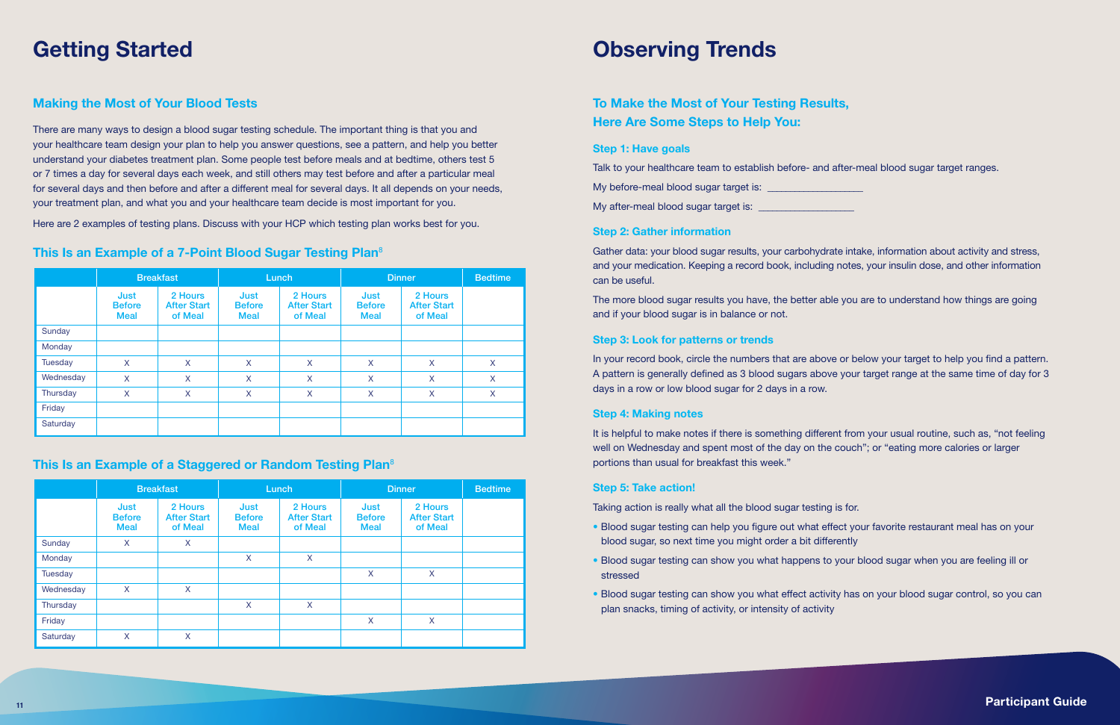|           | <b>Breakfast</b>                     |                                          | Lunch                                |                                          | <b>Dinner</b>                        |                                          | <b>Bedtime</b> |
|-----------|--------------------------------------|------------------------------------------|--------------------------------------|------------------------------------------|--------------------------------------|------------------------------------------|----------------|
|           | Just<br><b>Before</b><br><b>Meal</b> | 2 Hours<br><b>After Start</b><br>of Meal | Just<br><b>Before</b><br><b>Meal</b> | 2 Hours<br><b>After Start</b><br>of Meal | Just<br><b>Before</b><br><b>Meal</b> | 2 Hours<br><b>After Start</b><br>of Meal |                |
| Sunday    |                                      |                                          |                                      |                                          |                                      |                                          |                |
| Monday    |                                      |                                          |                                      |                                          |                                      |                                          |                |
| Tuesday   | X.                                   | X                                        | X                                    | $\mathsf{X}$                             | $\mathsf{X}$                         | X                                        | X              |
| Wednesday | X                                    | X                                        | X                                    | X                                        | X                                    | X                                        | X              |
| Thursday  | X                                    | X                                        | X                                    | $\mathsf{X}$                             | $\mathsf{X}$                         | X                                        | X              |
| Friday    |                                      |                                          |                                      |                                          |                                      |                                          |                |
| Saturday  |                                      |                                          |                                      |                                          |                                      |                                          |                |

### This Is an Example of a Staggered or Random Testing Plan<sup>8</sup>

|           |                                      | <b>Breakfast</b>                         | Lunch                                |                                          | <b>Dinner</b>                        |                                          | <b>Bedtime</b> |
|-----------|--------------------------------------|------------------------------------------|--------------------------------------|------------------------------------------|--------------------------------------|------------------------------------------|----------------|
|           | Just<br><b>Before</b><br><b>Meal</b> | 2 Hours<br><b>After Start</b><br>of Meal | Just<br><b>Before</b><br><b>Meal</b> | 2 Hours<br><b>After Start</b><br>of Meal | Just<br><b>Before</b><br><b>Meal</b> | 2 Hours<br><b>After Start</b><br>of Meal |                |
| Sunday    | X                                    | X                                        |                                      |                                          |                                      |                                          |                |
| Monday    |                                      |                                          | X                                    | $\mathsf{X}$                             |                                      |                                          |                |
| Tuesday   |                                      |                                          |                                      |                                          | X                                    | X                                        |                |
| Wednesday | X                                    | X                                        |                                      |                                          |                                      |                                          |                |
| Thursday  |                                      |                                          | X                                    | X                                        |                                      |                                          |                |
| Friday    |                                      |                                          |                                      |                                          | X                                    | X                                        |                |
| Saturday  | X                                    | X                                        |                                      |                                          |                                      |                                          |                |

## Getting Started **Contact Contact Contact Contact Contact Contact Contact Contact Contact Contact Contact Contact Contact Contact Contact Contact Contact Contact Contact Contact Contact Contact Contact Contact Contact Conta**

### Making the Most of Your Blood Tests

There are many ways to design a blood sugar testing schedule. The important thing is that you and your healthcare team design your plan to help you answer questions, see a pattern, and help you better understand your diabetes treatment plan. Some people test before meals and at bedtime, others test 5 or 7 times a day for several days each week, and still others may test before and after a particular meal for several days and then before and after a different meal for several days. It all depends on your needs, your treatment plan, and what you and your healthcare team decide is most important for you.

Here are 2 examples of testing plans. Discuss with your HCP which testing plan works best for you.

#### This Is an Example of a 7-Point Blood Sugar Testing Plan<sup>8</sup>

### To Make the Most of Your Testing Results, Here Are Some Steps to Help You:

#### Step 1: Have goals

| Talk to your healthcare team to establish before- and |  |
|-------------------------------------------------------|--|
| My before-meal blood sugar target is:                 |  |

My after-meal blood sugar target is: \_\_\_\_\_\_\_\_\_\_\_\_\_\_\_\_\_\_\_\_\_

#### Step 2: Gather information

Gather data: your blood sugar results, your carbohydrate intake, information about activity and stress, and your medication. Keeping a record book, including notes, your insulin dose, and other information can be useful.

The more blood sugar results you have, the better able you are to understand how things are going and if your blood sugar is in balance or not.

#### Step 3: Look for patterns or trends

In your record book, circle the numbers that are above or below your target to help you find a pattern. A pattern is generally defined as 3 blood sugars above your target range at the same time of day for 3 days in a row or low blood sugar for 2 days in a row.

#### Step 4: Making notes

It is helpful to make notes if there is something different from your usual routine, such as, "not feeling well on Wednesday and spent most of the day on the couch"; or "eating more calories or larger portions than usual for breakfast this week."

#### Step 5: Take action!

Taking action is really what all the blood sugar testing is for.

- Blood sugar testing can help you figure out what effect your favorite restaurant meal has on your blood sugar, so next time you might order a bit differently
- Blood sugar testing can show you what happens to your blood sugar when you are feeling ill or stressed
- Blood sugar testing can show you what effect activity has on your blood sugar control, so you can plan snacks, timing of activity, or intensity of activity

d after-meal blood sugar target ranges.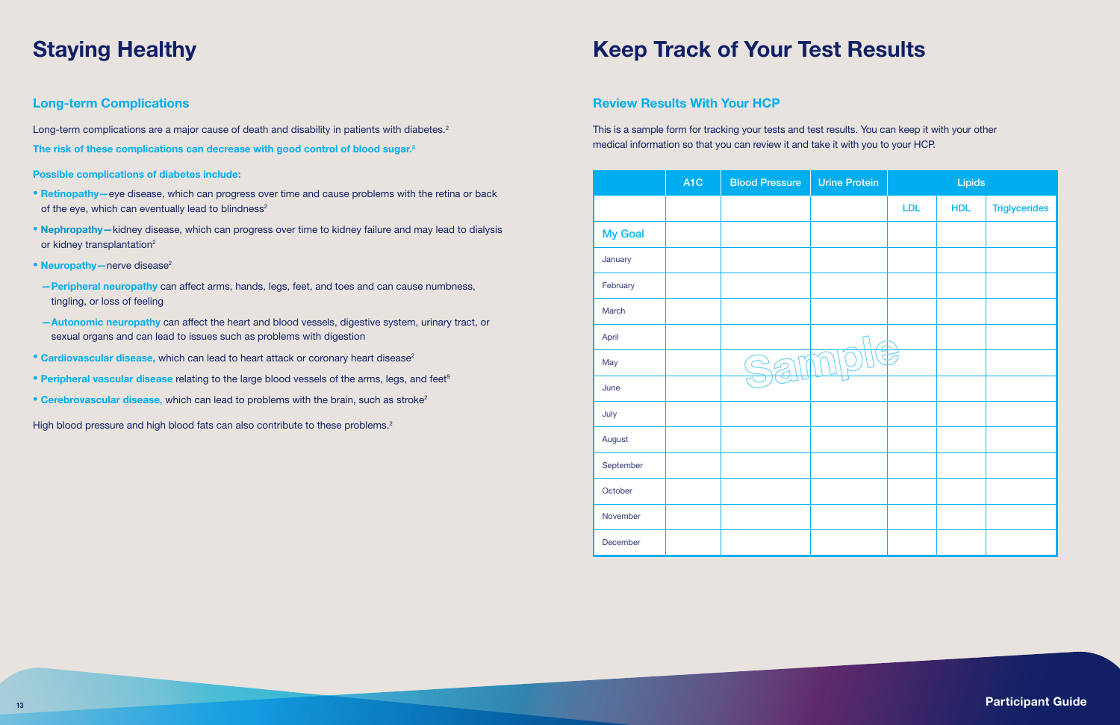|                | A <sub>1</sub> C | <b>Blood Pressure</b> |  |
|----------------|------------------|-----------------------|--|
|                |                  |                       |  |
| <b>My Goal</b> |                  |                       |  |
| January        |                  |                       |  |
| February       |                  |                       |  |
| March          |                  |                       |  |
| April          |                  |                       |  |
| May            |                  | $\preceq$             |  |
| June           |                  |                       |  |
| July           |                  |                       |  |
| August         |                  |                       |  |
| September      |                  |                       |  |
| October        |                  |                       |  |
| November       |                  |                       |  |
| December       |                  |                       |  |

| A1C | <b>Blood Pressure</b> | <b>Urine Protein</b> |     | Lipids     |                      |
|-----|-----------------------|----------------------|-----|------------|----------------------|
|     |                       |                      | LDL | <b>HDL</b> | <b>Triglycerides</b> |
|     |                       |                      |     |            |                      |
|     |                       |                      |     |            |                      |
|     |                       |                      |     |            |                      |
|     |                       |                      |     |            |                      |
|     |                       |                      |     |            |                      |
|     | $\blacktriangleright$ |                      |     |            |                      |
|     |                       |                      |     |            |                      |
|     |                       |                      |     |            |                      |
|     |                       |                      |     |            |                      |
|     |                       |                      |     |            |                      |
|     |                       |                      |     |            |                      |
|     |                       |                      |     |            |                      |
|     |                       |                      |     |            |                      |

Long-term complications are a major cause of death and disability in patients with diabetes.<sup>2</sup> The risk of these complications can decrease with good control of blood sugar.2

### Long-term Complications

- Retinopathy—eye disease, which can progress over time and cause problems with the retina or back of the eye, which can eventually lead to blindness<sup>2</sup>
- Nephropathy-kidney disease, which can progress over time to kidney failure and may lead to dialysis or kidney transplantation<sup>2</sup>
- Neuropathy nerve disease<sup>2</sup>
- —Peripheral neuropathy can affect arms, hands, legs, feet, and toes and can cause numbness, tingling, or loss of feeling
- —Autonomic neuropathy can affect the heart and blood vessels, digestive system, urinary tract, or sexual organs and can lead to issues such as problems with digestion
- Cardiovascular disease, which can lead to heart attack or coronary heart disease<sup>2</sup>
- Peripheral vascular disease relating to the large blood vessels of the arms, legs, and feet<sup>9</sup>
- Cerebrovascular disease, which can lead to problems with the brain, such as stroke<sup>2</sup>

High blood pressure and high blood fats can also contribute to these problems.<sup>2</sup>

## Staying Healthy **Keep Track of Your Test Results**

Possible complications of diabetes include:

#### Review Results With Your HCP

This is a sample form for tracking your tests and test results. You can keep it with your other medical information so that you can review it and take it with you to your HCP.